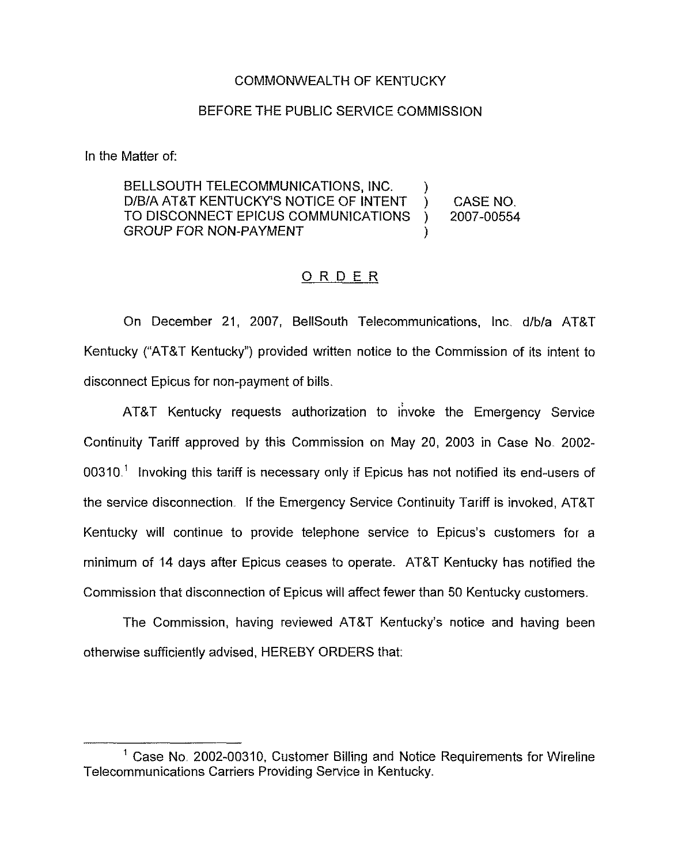## COMMONWEALTH OF KENTUCKY

## BEFORE THE PUBLIC SERVICE COMMISSION

In the Matter of:

## BELLSOUTH TELECOMMUNICATIONS, INC. D/B/A AT&T KENTUCKY'S NOTICE OF INTENT ) CASE NO.<br>TO DISCONNECT EPICUS COMMUNICATIONS ) 2007-00554 TO DISCONNECT EPICUS COMMUNICATIONS ) **GROUP FOR NON-PAYMENT**

## ORDER

On December 21, 2007, BellSouth Telecommunications, Inc. d/b/a AT&T Kentucky ("AT&T Kentucky") provided written notice to the Commission of its intent to disconnect Epicus for non-payment of bills.

AT&T Kentucky requests authorization to invoke the Emergency Service Continuity Tariff approved by this Commission on May 20, 2003 in Case No 2002-  $00310<sup>1</sup>$  Invoking this tariff is necessary only if Epicus has not notified its end-users of the service disconnection. If the Emergency Service Continuity Tariff is invoked, AT&T Kentucky will continue to provide telephone service to Epicus's customers for a minimum of 14 days after Epicus ceases to operate. AT&T Kentucky has notified the Commission that disconnection of Epicus will affect fewer than 50 Kentucky customers.

The Commission, having reviewed AT8T Kentucky's notice and having been otherwise sufficiently advised, HEREBY ORDERS that:

 $<sup>1</sup>$  Case No. 2002-00310, Customer Billing and Notice Requirements for Wireline</sup> Telecommunications Carriers Providing Service in Kentucky.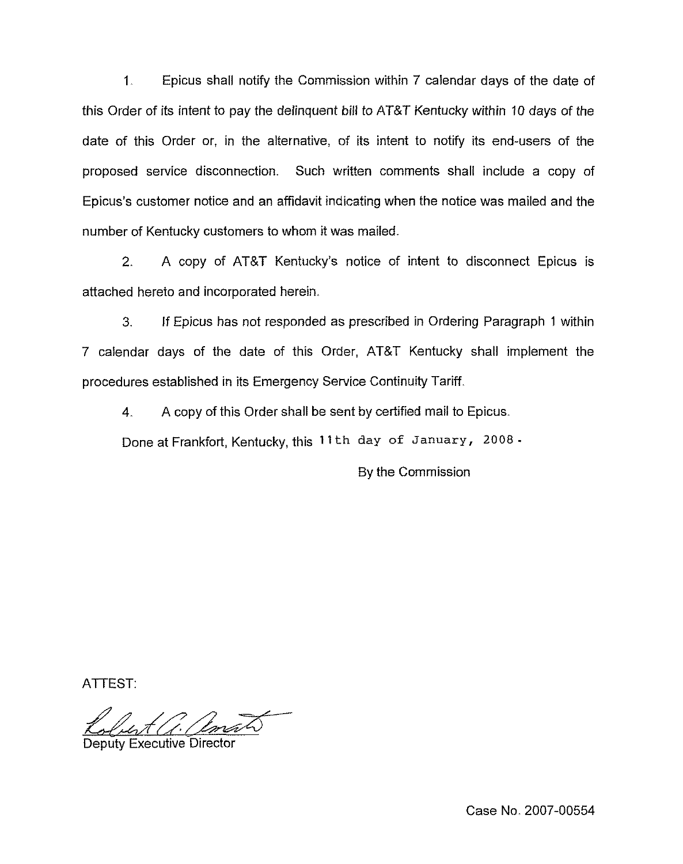1. Epicus shall notify the Commission within 7 calendar days of the date of this Order of its intent to pay the delinguent bill to AT&T Kentucky within 10 days of the date of this Order or, in the alternative, of its intent to notify its end-users of the proposed service disconnection. Such written comments shall include a copy of Epicus's customer notice and an affidavit indicating when the notice was mailed and the number of Kentucky customers to whom it was mailed.

2. A copy of AT8T Kentucky's notice of intent to disconnect Epicus is attached hereto and incorporated herein.

3. If Epicus has not responded as prescribed in Ordering Paragraph <sup>1</sup> within 7 calendar days of the date of this Order, AT8T Kentucky shall implement the procedures established in its Emergency Service Continuity Tariff,

4. A copy of this Order shall be sent by certified mail to Epicus.

Done at Frankfort, Kentucky, this 11th day of January, 2008.

By the Commission

ATTEST:

Deputy Executive Director

Case No. 2007-00554